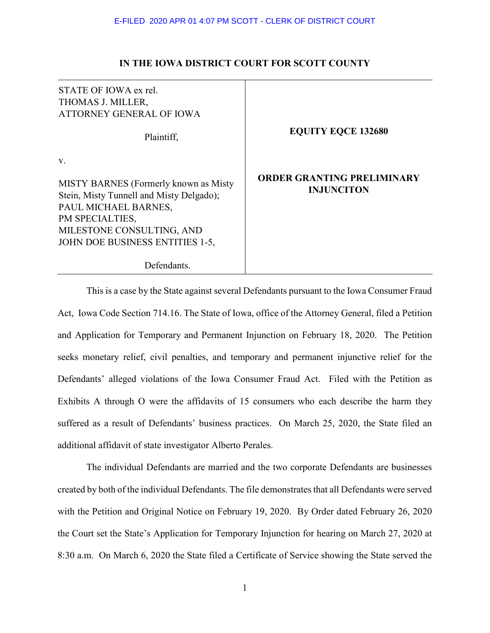# **IN THE IOWA DISTRICT COURT FOR SCOTT COUNTY**

# STATE OF IOWA ex rel. THOMAS J. MILLER, ATTORNEY GENERAL OF IOWA Plaintiff, v. MISTY BARNES (Formerly known as Misty Stein, Misty Tunnell and Misty Delgado); PAUL MICHAEL BARNES, PM SPECIALTIES, MILESTONE CONSULTING, AND JOHN DOE BUSINESS ENTITIES 1-5, **EQUITY EQCE 132680 ORDER GRANTING PRELIMINARY INJUNCITON**

Defendants.

This is a case by the State against several Defendants pursuant to the Iowa Consumer Fraud Act, Iowa Code Section 714.16. The State of Iowa, office of the Attorney General, filed a Petition and Application for Temporary and Permanent Injunction on February 18, 2020. The Petition seeks monetary relief, civil penalties, and temporary and permanent injunctive relief for the Defendants' alleged violations of the Iowa Consumer Fraud Act. Filed with the Petition as Exhibits A through O were the affidavits of 15 consumers who each describe the harm they suffered as a result of Defendants' business practices. On March 25, 2020, the State filed an additional affidavit of state investigator Alberto Perales.

The individual Defendants are married and the two corporate Defendants are businesses created by both of the individual Defendants. The file demonstrates that all Defendants were served with the Petition and Original Notice on February 19, 2020. By Order dated February 26, 2020 the Court set the State's Application for Temporary Injunction for hearing on March 27, 2020 at 8:30 a.m. On March 6, 2020 the State filed a Certificate of Service showing the State served the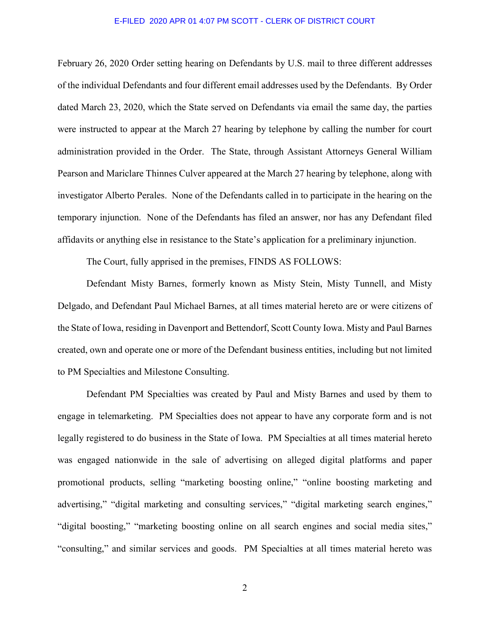February 26, 2020 Order setting hearing on Defendants by U.S. mail to three different addresses of the individual Defendants and four different email addresses used by the Defendants. By Order dated March 23, 2020, which the State served on Defendants via email the same day, the parties were instructed to appear at the March 27 hearing by telephone by calling the number for court administration provided in the Order. The State, through Assistant Attorneys General William Pearson and Mariclare Thinnes Culver appeared at the March 27 hearing by telephone, along with investigator Alberto Perales. None of the Defendants called in to participate in the hearing on the temporary injunction. None of the Defendants has filed an answer, nor has any Defendant filed affidavits or anything else in resistance to the State's application for a preliminary injunction.

The Court, fully apprised in the premises, FINDS AS FOLLOWS:

Defendant Misty Barnes, formerly known as Misty Stein, Misty Tunnell, and Misty Delgado, and Defendant Paul Michael Barnes, at all times material hereto are or were citizens of the State of Iowa, residing in Davenport and Bettendorf, Scott County Iowa. Misty and Paul Barnes created, own and operate one or more of the Defendant business entities, including but not limited to PM Specialties and Milestone Consulting.

Defendant PM Specialties was created by Paul and Misty Barnes and used by them to engage in telemarketing. PM Specialties does not appear to have any corporate form and is not legally registered to do business in the State of Iowa. PM Specialties at all times material hereto was engaged nationwide in the sale of advertising on alleged digital platforms and paper promotional products, selling "marketing boosting online," "online boosting marketing and advertising," "digital marketing and consulting services," "digital marketing search engines," "digital boosting," "marketing boosting online on all search engines and social media sites," "consulting," and similar services and goods. PM Specialties at all times material hereto was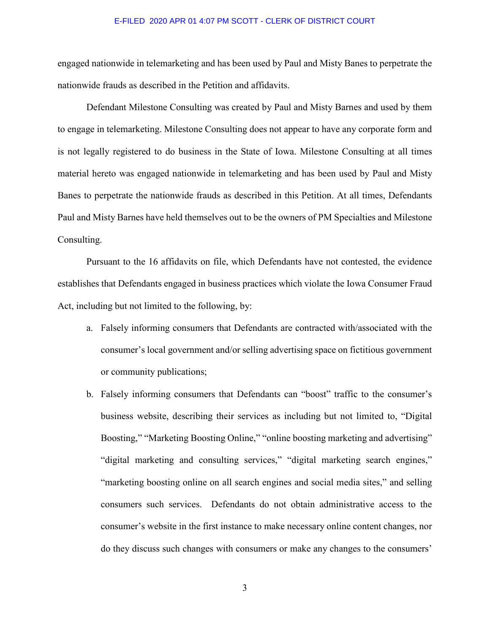engaged nationwide in telemarketing and has been used by Paul and Misty Banes to perpetrate the nationwide frauds as described in the Petition and affidavits.

Defendant Milestone Consulting was created by Paul and Misty Barnes and used by them to engage in telemarketing. Milestone Consulting does not appear to have any corporate form and is not legally registered to do business in the State of Iowa. Milestone Consulting at all times material hereto was engaged nationwide in telemarketing and has been used by Paul and Misty Banes to perpetrate the nationwide frauds as described in this Petition. At all times, Defendants Paul and Misty Barnes have held themselves out to be the owners of PM Specialties and Milestone Consulting.

Pursuant to the 16 affidavits on file, which Defendants have not contested, the evidence establishes that Defendants engaged in business practices which violate the Iowa Consumer Fraud Act, including but not limited to the following, by:

- a. Falsely informing consumers that Defendants are contracted with/associated with the consumer's local government and/or selling advertising space on fictitious government or community publications;
- b. Falsely informing consumers that Defendants can "boost" traffic to the consumer's business website, describing their services as including but not limited to, "Digital Boosting," "Marketing Boosting Online," "online boosting marketing and advertising" "digital marketing and consulting services," "digital marketing search engines," "marketing boosting online on all search engines and social media sites," and selling consumers such services. Defendants do not obtain administrative access to the consumer's website in the first instance to make necessary online content changes, nor do they discuss such changes with consumers or make any changes to the consumers'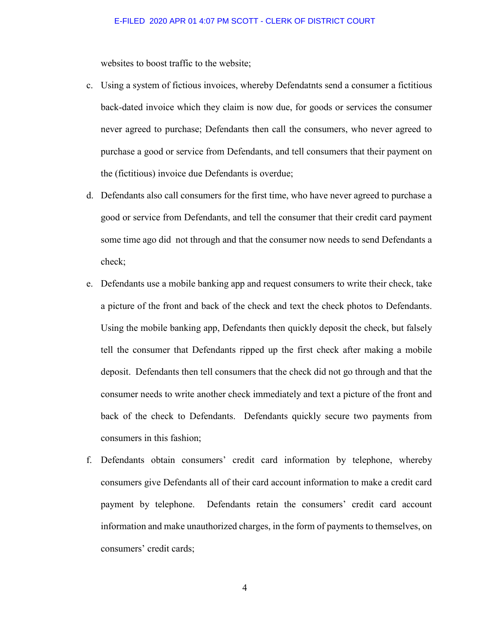websites to boost traffic to the website;

- c. Using a system of fictious invoices, whereby Defendatnts send a consumer a fictitious back-dated invoice which they claim is now due, for goods or services the consumer never agreed to purchase; Defendants then call the consumers, who never agreed to purchase a good or service from Defendants, and tell consumers that their payment on the (fictitious) invoice due Defendants is overdue;
- d. Defendants also call consumers for the first time, who have never agreed to purchase a good or service from Defendants, and tell the consumer that their credit card payment some time ago did not through and that the consumer now needs to send Defendants a check;
- e. Defendants use a mobile banking app and request consumers to write their check, take a picture of the front and back of the check and text the check photos to Defendants. Using the mobile banking app, Defendants then quickly deposit the check, but falsely tell the consumer that Defendants ripped up the first check after making a mobile deposit. Defendants then tell consumers that the check did not go through and that the consumer needs to write another check immediately and text a picture of the front and back of the check to Defendants. Defendants quickly secure two payments from consumers in this fashion;
- f. Defendants obtain consumers' credit card information by telephone, whereby consumers give Defendants all of their card account information to make a credit card payment by telephone. Defendants retain the consumers' credit card account information and make unauthorized charges, in the form of payments to themselves, on consumers' credit cards;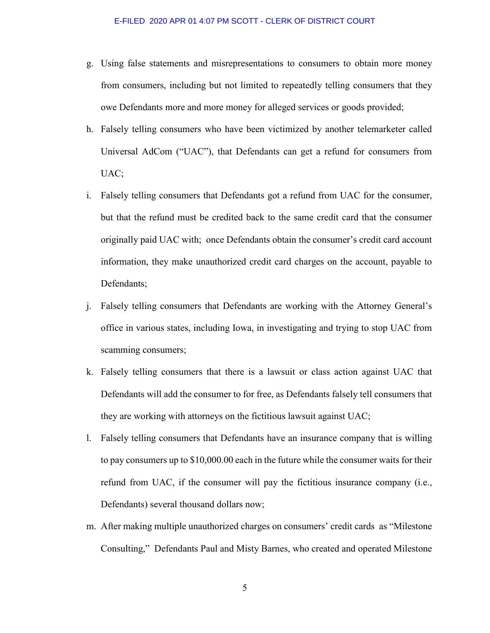- g. Using false statements and misrepresentations to consumers to obtain more money from consumers, including but not limited to repeatedly telling consumers that they owe Defendants more and more money for alleged services or goods provided;
- h. Falsely telling consumers who have been victimized by another telemarketer called Universal AdCom ("UAC"), that Defendants can get a refund for consumers from UAC;
- i. Falsely telling consumers that Defendants got a refund from UAC for the consumer, but that the refund must be credited back to the same credit card that the consumer originally paid UAC with; once Defendants obtain the consumer's credit card account information, they make unauthorized credit card charges on the account, payable to Defendants;
- j. Falsely telling consumers that Defendants are working with the Attorney General's office in various states, including Iowa, in investigating and trying to stop UAC from scamming consumers;
- k. Falsely telling consumers that there is a lawsuit or class action against UAC that Defendants will add the consumer to for free, as Defendants falsely tell consumers that they are working with attorneys on the fictitious lawsuit against UAC;
- l. Falsely telling consumers that Defendants have an insurance company that is willing to pay consumers up to \$10,000.00 each in the future while the consumer waits for their refund from UAC, if the consumer will pay the fictitious insurance company (i.e., Defendants) several thousand dollars now;
- m. After making multiple unauthorized charges on consumers' credit cards as "Milestone Consulting," Defendants Paul and Misty Barnes, who created and operated Milestone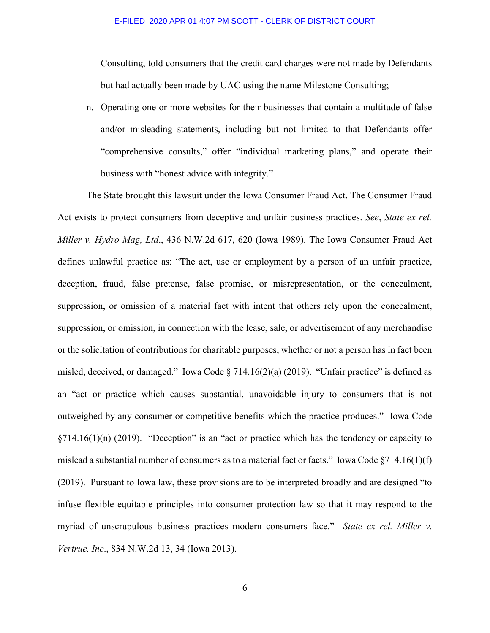Consulting, told consumers that the credit card charges were not made by Defendants but had actually been made by UAC using the name Milestone Consulting;

n. Operating one or more websites for their businesses that contain a multitude of false and/or misleading statements, including but not limited to that Defendants offer "comprehensive consults," offer "individual marketing plans," and operate their business with "honest advice with integrity."

The State brought this lawsuit under the Iowa Consumer Fraud Act. The Consumer Fraud Act exists to protect consumers from deceptive and unfair business practices. *See*, *State ex rel. Miller v. Hydro Mag, Ltd*., 436 N.W.2d 617, 620 (Iowa 1989). The Iowa Consumer Fraud Act defines unlawful practice as: "The act, use or employment by a person of an unfair practice, deception, fraud, false pretense, false promise, or misrepresentation, or the concealment, suppression, or omission of a material fact with intent that others rely upon the concealment, suppression, or omission, in connection with the lease, sale, or advertisement of any merchandise or the solicitation of contributions for charitable purposes, whether or not a person has in fact been misled, deceived, or damaged." Iowa Code § 714.16(2)(a) (2019). "Unfair practice" is defined as an "act or practice which causes substantial, unavoidable injury to consumers that is not outweighed by any consumer or competitive benefits which the practice produces." Iowa Code  $\S714.16(1)(n)$  (2019). "Deception" is an "act or practice which has the tendency or capacity to mislead a substantial number of consumers as to a material fact or facts." Iowa Code  $\S714.16(1)(f)$ (2019). Pursuant to Iowa law, these provisions are to be interpreted broadly and are designed "to infuse flexible equitable principles into consumer protection law so that it may respond to the myriad of unscrupulous business practices modern consumers face." *State ex rel. Miller v. Vertrue, Inc*., 834 N.W.2d 13, 34 (Iowa 2013).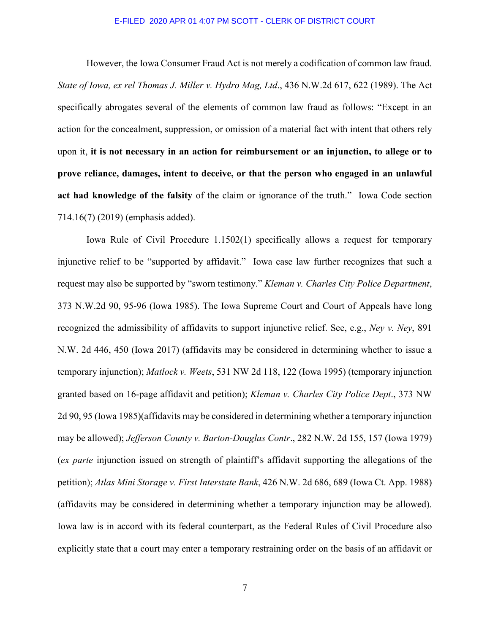However, the Iowa Consumer Fraud Act is not merely a codification of common law fraud. *State of Iowa, ex rel Thomas J. Miller v. Hydro Mag, Ltd*., 436 N.W.2d 617, 622 (1989). The Act specifically abrogates several of the elements of common law fraud as follows: "Except in an action for the concealment, suppression, or omission of a material fact with intent that others rely upon it, **it is not necessary in an action for reimbursement or an injunction, to allege or to prove reliance, damages, intent to deceive, or that the person who engaged in an unlawful act had knowledge of the falsity** of the claim or ignorance of the truth." Iowa Code section 714.16(7) (2019) (emphasis added).

Iowa Rule of Civil Procedure 1.1502(1) specifically allows a request for temporary injunctive relief to be "supported by affidavit." Iowa case law further recognizes that such a request may also be supported by "sworn testimony." *Kleman v. Charles City Police Department*, 373 N.W.2d 90, 95-96 (Iowa 1985). The Iowa Supreme Court and Court of Appeals have long recognized the admissibility of affidavits to support injunctive relief. See, e.g., *Ney v. Ney*, 891 N.W. 2d 446, 450 (Iowa 2017) (affidavits may be considered in determining whether to issue a temporary injunction); *Matlock v. Weets*, 531 NW 2d 118, 122 (Iowa 1995) (temporary injunction granted based on 16-page affidavit and petition); *Kleman v. Charles City Police Dept*., 373 NW 2d 90, 95 (Iowa 1985)(affidavits may be considered in determining whether a temporary injunction may be allowed); *Jefferson County v. Barton-Douglas Contr*., 282 N.W. 2d 155, 157 (Iowa 1979) (*ex parte* injunction issued on strength of plaintiff's affidavit supporting the allegations of the petition); *Atlas Mini Storage v. First Interstate Bank*, 426 N.W. 2d 686, 689 (Iowa Ct. App. 1988) (affidavits may be considered in determining whether a temporary injunction may be allowed). Iowa law is in accord with its federal counterpart, as the Federal Rules of Civil Procedure also explicitly state that a court may enter a temporary restraining order on the basis of an affidavit or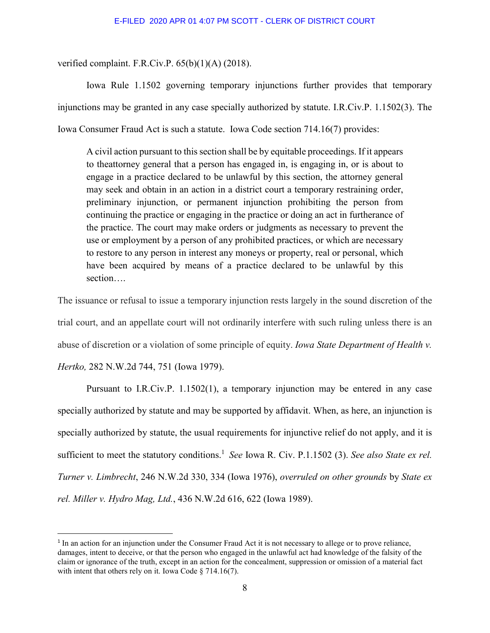verified complaint. F.R.Civ.P. 65(b)(1)(A) (2018).

Iowa Rule 1.1502 governing temporary injunctions further provides that temporary injunctions may be granted in any case specially authorized by statute. I.R.Civ.P. 1.1502(3). The Iowa Consumer Fraud Act is such a statute. Iowa Code section 714.16(7) provides:

A civil action pursuant to this section shall be by equitable proceedings. If it appears to theattorney general that a person has engaged in, is engaging in, or is about to engage in a practice declared to be unlawful by this section, the attorney general may seek and obtain in an action in a district court a temporary restraining order, preliminary injunction, or permanent injunction prohibiting the person from continuing the practice or engaging in the practice or doing an act in furtherance of the practice. The court may make orders or judgments as necessary to prevent the use or employment by a person of any prohibited practices, or which are necessary to restore to any person in interest any moneys or property, real or personal, which have been acquired by means of a practice declared to be unlawful by this section….

The issuance or refusal to issue a temporary injunction rests largely in the sound discretion of the trial court, and an appellate court will not ordinarily interfere with such ruling unless there is an abuse of discretion or a violation of some principle of equity. *Iowa State Department of Health v. Hertko,* 282 N.W.2d 744, 751 (Iowa 1979).

Pursuant to I.R.Civ.P. 1.1502(1), a temporary injunction may be entered in any case specially authorized by statute and may be supported by affidavit. When, as here, an injunction is specially authorized by statute, the usual requirements for injunctive relief do not apply, and it is sufficient to meet the statutory conditions.<sup>1</sup> See Iowa R. Civ. P.1.1502 (3). See also State ex rel. *Turner v. Limbrecht*, 246 N.W.2d 330, 334 (Iowa 1976), *overruled on other grounds* by *State ex rel. Miller v. Hydro Mag, Ltd.*, 436 N.W.2d 616, 622 (Iowa 1989).

-

<sup>&</sup>lt;sup>1</sup> In an action for an injunction under the Consumer Fraud Act it is not necessary to allege or to prove reliance, damages, intent to deceive, or that the person who engaged in the unlawful act had knowledge of the falsity of the claim or ignorance of the truth, except in an action for the concealment, suppression or omission of a material fact with intent that others rely on it. Iowa Code § 714.16(7).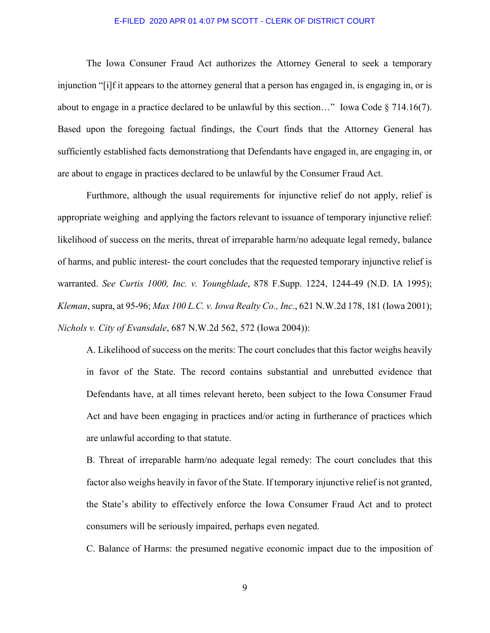The Iowa Consuner Fraud Act authorizes the Attorney General to seek a temporary injunction "[i]f it appears to the attorney general that a person has engaged in, is engaging in, or is about to engage in a practice declared to be unlawful by this section..." Iowa Code  $\S 714.16(7)$ . Based upon the foregoing factual findings, the Court finds that the Attorney General has sufficiently established facts demonstrationg that Defendants have engaged in, are engaging in, or are about to engage in practices declared to be unlawful by the Consumer Fraud Act.

Furthmore, although the usual requirements for injunctive relief do not apply, relief is appropriate weighing and applying the factors relevant to issuance of temporary injunctive relief: likelihood of success on the merits, threat of irreparable harm/no adequate legal remedy, balance of harms, and public interest- the court concludes that the requested temporary injunctive relief is warranted. *See Curtis 1000, Inc. v. Youngblade*, 878 F.Supp. 1224, 1244-49 (N.D. IA 1995); *Kleman*, supra, at 95-96; *Max 100 L.C. v. Iowa Realty Co., Inc*., 621 N.W.2d 178, 181 (Iowa 2001); *Nichols v. City of Evansdale*, 687 N.W.2d 562, 572 (Iowa 2004)):

A. Likelihood of success on the merits: The court concludes that this factor weighs heavily in favor of the State. The record contains substantial and unrebutted evidence that Defendants have, at all times relevant hereto, been subject to the Iowa Consumer Fraud Act and have been engaging in practices and/or acting in furtherance of practices which are unlawful according to that statute.

B. Threat of irreparable harm/no adequate legal remedy: The court concludes that this factor also weighs heavily in favor of the State. If temporary injunctive relief is not granted, the State's ability to effectively enforce the Iowa Consumer Fraud Act and to protect consumers will be seriously impaired, perhaps even negated.

C. Balance of Harms: the presumed negative economic impact due to the imposition of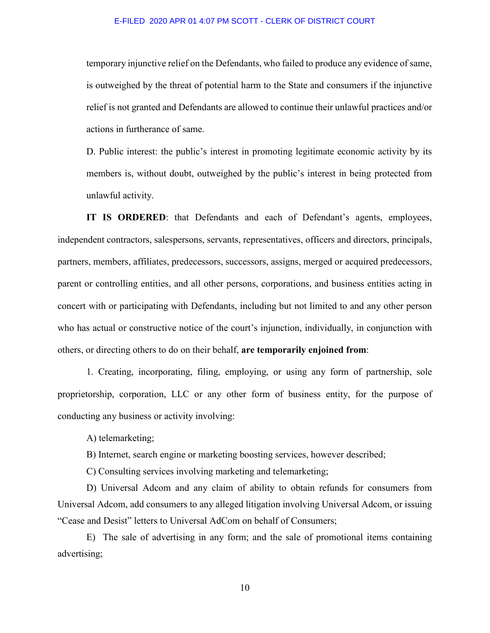temporary injunctive relief on the Defendants, who failed to produce any evidence of same, is outweighed by the threat of potential harm to the State and consumers if the injunctive relief is not granted and Defendants are allowed to continue their unlawful practices and/or actions in furtherance of same.

D. Public interest: the public's interest in promoting legitimate economic activity by its members is, without doubt, outweighed by the public's interest in being protected from unlawful activity.

**IT IS ORDERED**: that Defendants and each of Defendant's agents, employees, independent contractors, salespersons, servants, representatives, officers and directors, principals, partners, members, affiliates, predecessors, successors, assigns, merged or acquired predecessors, parent or controlling entities, and all other persons, corporations, and business entities acting in concert with or participating with Defendants, including but not limited to and any other person who has actual or constructive notice of the court's injunction, individually, in conjunction with others, or directing others to do on their behalf, **are temporarily enjoined from**:

1. Creating, incorporating, filing, employing, or using any form of partnership, sole proprietorship, corporation, LLC or any other form of business entity, for the purpose of conducting any business or activity involving:

A) telemarketing;

B) Internet, search engine or marketing boosting services, however described;

C) Consulting services involving marketing and telemarketing;

D) Universal Adcom and any claim of ability to obtain refunds for consumers from Universal Adcom, add consumers to any alleged litigation involving Universal Adcom, or issuing "Cease and Desist" letters to Universal AdCom on behalf of Consumers;

E) The sale of advertising in any form; and the sale of promotional items containing advertising;

10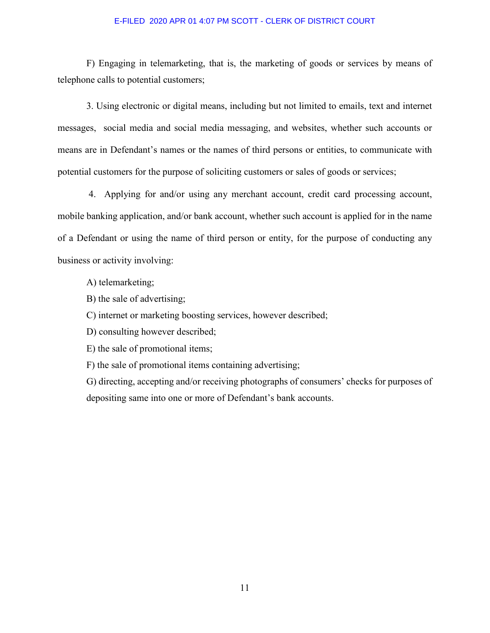F) Engaging in telemarketing, that is, the marketing of goods or services by means of telephone calls to potential customers;

3. Using electronic or digital means, including but not limited to emails, text and internet messages, social media and social media messaging, and websites, whether such accounts or means are in Defendant's names or the names of third persons or entities, to communicate with potential customers for the purpose of soliciting customers or sales of goods or services;

 4. Applying for and/or using any merchant account, credit card processing account, mobile banking application, and/or bank account, whether such account is applied for in the name of a Defendant or using the name of third person or entity, for the purpose of conducting any business or activity involving:

A) telemarketing;

B) the sale of advertising;

C) internet or marketing boosting services, however described;

D) consulting however described;

E) the sale of promotional items;

F) the sale of promotional items containing advertising;

G) directing, accepting and/or receiving photographs of consumers' checks for purposes of depositing same into one or more of Defendant's bank accounts.